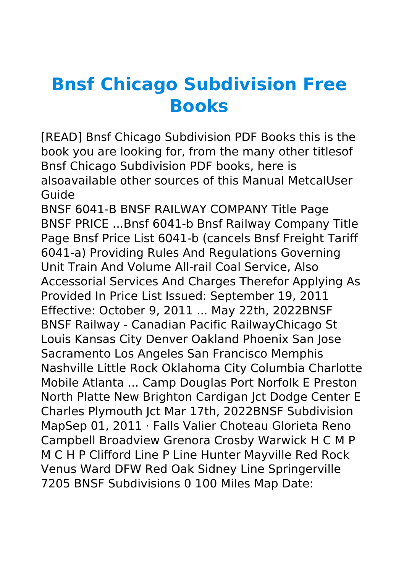## **Bnsf Chicago Subdivision Free Books**

[READ] Bnsf Chicago Subdivision PDF Books this is the book you are looking for, from the many other titlesof Bnsf Chicago Subdivision PDF books, here is alsoavailable other sources of this Manual MetcalUser Guide

BNSF 6041-B BNSF RAILWAY COMPANY Title Page BNSF PRICE ...Bnsf 6041-b Bnsf Railway Company Title Page Bnsf Price List 6041-b (cancels Bnsf Freight Tariff 6041-a) Providing Rules And Regulations Governing Unit Train And Volume All-rail Coal Service, Also Accessorial Services And Charges Therefor Applying As Provided In Price List Issued: September 19, 2011 Effective: October 9, 2011 ... May 22th, 2022BNSF BNSF Railway - Canadian Pacific RailwayChicago St Louis Kansas City Denver Oakland Phoenix San Jose Sacramento Los Angeles San Francisco Memphis Nashville Little Rock Oklahoma City Columbia Charlotte Mobile Atlanta ... Camp Douglas Port Norfolk E Preston North Platte New Brighton Cardigan Jct Dodge Center E Charles Plymouth Jct Mar 17th, 2022BNSF Subdivision MapSep 01, 2011 · Falls Valier Choteau Glorieta Reno Campbell Broadview Grenora Crosby Warwick H C M P M C H P Clifford Line P Line Hunter Mayville Red Rock Venus Ward DFW Red Oak Sidney Line Springerville 7205 BNSF Subdivisions 0 100 Miles Map Date: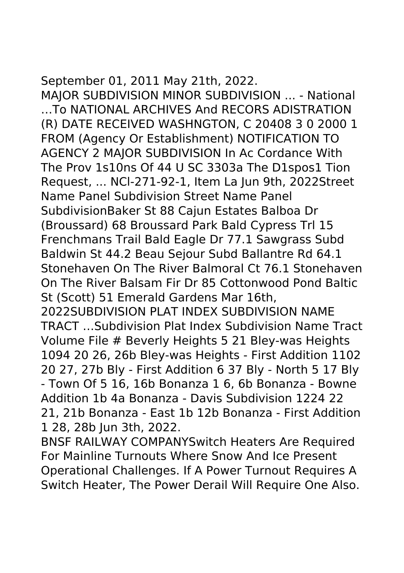## September 01, 2011 May 21th, 2022.

MAJOR SUBDIVISION MINOR SUBDIVISION ... - National …To NATIONAL ARCHIVES And RECORS ADISTRATION (R) DATE RECEIVED WASHNGTON, C 20408 3 0 2000 1 FROM (Agency Or Establishment) NOTIFICATION TO AGENCY 2 MAJOR SUBDIVISION In Ac Cordance With The Prov 1s10ns Of 44 U SC 3303a The D1spos1 Tion Request, ... NCl-271-92-1, Item La Jun 9th, 2022Street Name Panel Subdivision Street Name Panel SubdivisionBaker St 88 Cajun Estates Balboa Dr (Broussard) 68 Broussard Park Bald Cypress Trl 15 Frenchmans Trail Bald Eagle Dr 77.1 Sawgrass Subd Baldwin St 44.2 Beau Sejour Subd Ballantre Rd 64.1 Stonehaven On The River Balmoral Ct 76.1 Stonehaven On The River Balsam Fir Dr 85 Cottonwood Pond Baltic St (Scott) 51 Emerald Gardens Mar 16th,

2022SUBDIVISION PLAT INDEX SUBDIVISION NAME TRACT …Subdivision Plat Index Subdivision Name Tract Volume File # Beverly Heights 5 21 Bley-was Heights 1094 20 26, 26b Bley-was Heights - First Addition 1102 20 27, 27b Bly - First Addition 6 37 Bly - North 5 17 Bly - Town Of 5 16, 16b Bonanza 1 6, 6b Bonanza - Bowne Addition 1b 4a Bonanza - Davis Subdivision 1224 22 21, 21b Bonanza - East 1b 12b Bonanza - First Addition 1 28, 28b Jun 3th, 2022.

BNSF RAILWAY COMPANYSwitch Heaters Are Required For Mainline Turnouts Where Snow And Ice Present Operational Challenges. If A Power Turnout Requires A Switch Heater, The Power Derail Will Require One Also.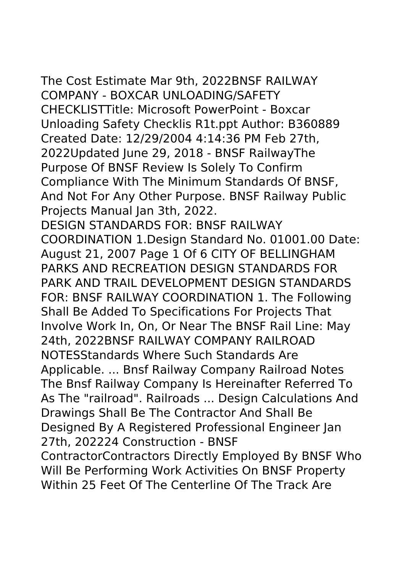The Cost Estimate Mar 9th, 2022BNSF RAILWAY COMPANY - BOXCAR UNLOADING/SAFETY CHECKLISTTitle: Microsoft PowerPoint - Boxcar Unloading Safety Checklis R1t.ppt Author: B360889 Created Date: 12/29/2004 4:14:36 PM Feb 27th, 2022Updated June 29, 2018 - BNSF RailwayThe Purpose Of BNSF Review Is Solely To Confirm Compliance With The Minimum Standards Of BNSF, And Not For Any Other Purpose. BNSF Railway Public Projects Manual Jan 3th, 2022. DESIGN STANDARDS FOR: BNSF RAILWAY COORDINATION 1.Design Standard No. 01001.00 Date:

August 21, 2007 Page 1 Of 6 CITY OF BELLINGHAM PARKS AND RECREATION DESIGN STANDARDS FOR PARK AND TRAIL DEVELOPMENT DESIGN STANDARDS FOR: BNSF RAILWAY COORDINATION 1. The Following Shall Be Added To Specifications For Projects That Involve Work In, On, Or Near The BNSF Rail Line: May 24th, 2022BNSF RAILWAY COMPANY RAILROAD NOTESStandards Where Such Standards Are Applicable. ... Bnsf Railway Company Railroad Notes The Bnsf Railway Company Is Hereinafter Referred To As The "railroad". Railroads ... Design Calculations And Drawings Shall Be The Contractor And Shall Be Designed By A Registered Professional Engineer Jan 27th, 202224 Construction - BNSF ContractorContractors Directly Employed By BNSF Who Will Be Performing Work Activities On BNSF Property Within 25 Feet Of The Centerline Of The Track Are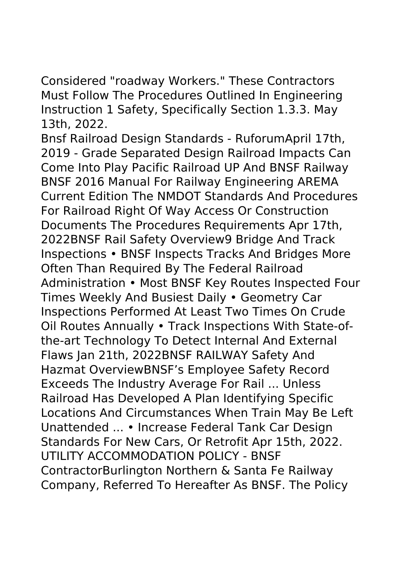Considered "roadway Workers." These Contractors Must Follow The Procedures Outlined In Engineering Instruction 1 Safety, Specifically Section 1.3.3. May 13th, 2022.

Bnsf Railroad Design Standards - RuforumApril 17th, 2019 - Grade Separated Design Railroad Impacts Can Come Into Play Pacific Railroad UP And BNSF Railway BNSF 2016 Manual For Railway Engineering AREMA Current Edition The NMDOT Standards And Procedures For Railroad Right Of Way Access Or Construction Documents The Procedures Requirements Apr 17th, 2022BNSF Rail Safety Overview9 Bridge And Track Inspections • BNSF Inspects Tracks And Bridges More Often Than Required By The Federal Railroad Administration • Most BNSF Key Routes Inspected Four Times Weekly And Busiest Daily • Geometry Car Inspections Performed At Least Two Times On Crude Oil Routes Annually • Track Inspections With State-ofthe-art Technology To Detect Internal And External Flaws Jan 21th, 2022BNSF RAILWAY Safety And Hazmat OverviewBNSF's Employee Safety Record Exceeds The Industry Average For Rail ... Unless Railroad Has Developed A Plan Identifying Specific Locations And Circumstances When Train May Be Left Unattended ... • Increase Federal Tank Car Design Standards For New Cars, Or Retrofit Apr 15th, 2022. UTILITY ACCOMMODATION POLICY - BNSF ContractorBurlington Northern & Santa Fe Railway Company, Referred To Hereafter As BNSF. The Policy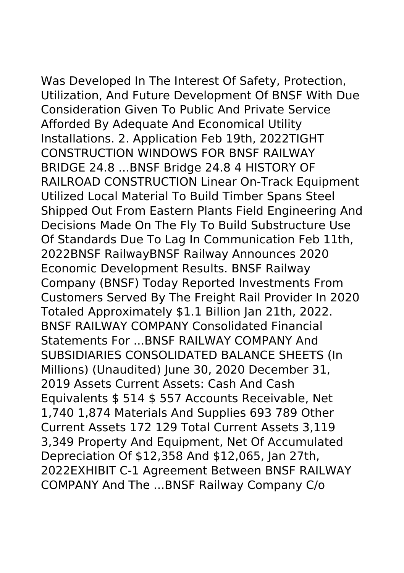Was Developed In The Interest Of Safety, Protection, Utilization, And Future Development Of BNSF With Due Consideration Given To Public And Private Service Afforded By Adequate And Economical Utility Installations. 2. Application Feb 19th, 2022TIGHT CONSTRUCTION WINDOWS FOR BNSF RAILWAY BRIDGE 24.8 ...BNSF Bridge 24.8 4 HISTORY OF RAILROAD CONSTRUCTION Linear On-Track Equipment Utilized Local Material To Build Timber Spans Steel Shipped Out From Eastern Plants Field Engineering And Decisions Made On The Fly To Build Substructure Use Of Standards Due To Lag In Communication Feb 11th, 2022BNSF RailwayBNSF Railway Announces 2020 Economic Development Results. BNSF Railway Company (BNSF) Today Reported Investments From Customers Served By The Freight Rail Provider In 2020 Totaled Approximately \$1.1 Billion Jan 21th, 2022. BNSF RAILWAY COMPANY Consolidated Financial Statements For ...BNSF RAILWAY COMPANY And SUBSIDIARIES CONSOLIDATED BALANCE SHEETS (In Millions) (Unaudited) June 30, 2020 December 31, 2019 Assets Current Assets: Cash And Cash Equivalents \$ 514 \$ 557 Accounts Receivable, Net 1,740 1,874 Materials And Supplies 693 789 Other Current Assets 172 129 Total Current Assets 3,119 3,349 Property And Equipment, Net Of Accumulated Depreciation Of \$12,358 And \$12,065, Jan 27th, 2022EXHIBIT C-1 Agreement Between BNSF RAILWAY COMPANY And The ...BNSF Railway Company C/o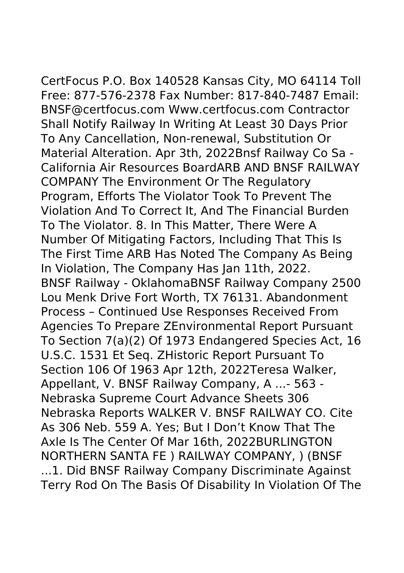CertFocus P.O. Box 140528 Kansas City, MO 64114 Toll Free: 877-576-2378 Fax Number: 817-840-7487 Email: BNSF@certfocus.com Www.certfocus.com Contractor Shall Notify Railway In Writing At Least 30 Days Prior To Any Cancellation, Non-renewal, Substitution Or Material Alteration. Apr 3th, 2022Bnsf Railway Co Sa - California Air Resources BoardARB AND BNSF RAILWAY COMPANY The Environment Or The Regulatory Program, Efforts The Violator Took To Prevent The Violation And To Correct It, And The Financial Burden To The Violator. 8. In This Matter, There Were A Number Of Mitigating Factors, Including That This Is The First Time ARB Has Noted The Company As Being In Violation, The Company Has Jan 11th, 2022. BNSF Railway - OklahomaBNSF Railway Company 2500 Lou Menk Drive Fort Worth, TX 76131. Abandonment Process – Continued Use Responses Received From Agencies To Prepare ZEnvironmental Report Pursuant To Section 7(a)(2) Of 1973 Endangered Species Act, 16 U.S.C. 1531 Et Seq. ZHistoric Report Pursuant To Section 106 Of 1963 Apr 12th, 2022Teresa Walker, Appellant, V. BNSF Railway Company, A ...- 563 - Nebraska Supreme Court Advance Sheets 306 Nebraska Reports WALKER V. BNSF RAILWAY CO. Cite As 306 Neb. 559 A. Yes; But I Don't Know That The Axle Is The Center Of Mar 16th, 2022BURLINGTON NORTHERN SANTA FE ) RAILWAY COMPANY, ) (BNSF ...1. Did BNSF Railway Company Discriminate Against Terry Rod On The Basis Of Disability In Violation Of The